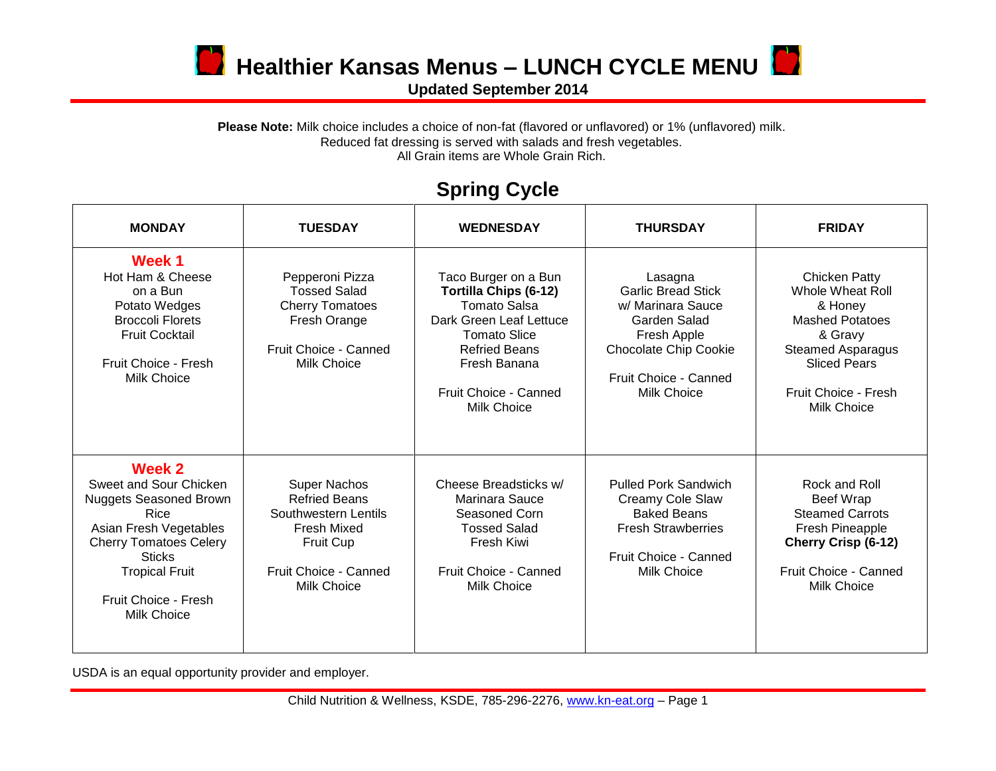

**D** Healthier Kansas Menus – LUNCH CYCLE MENU

**Updated September 2014**

Please Note: Milk choice includes a choice of non-fat (flavored or unflavored) or 1% (unflavored) milk. Reduced fat dressing is served with salads and fresh vegetables. All Grain items are Whole Grain Rich.

## **Spring Cycle**

| <b>MONDAY</b>                                                                                                                                                                                                                | <b>TUESDAY</b>                                                                                                                                 | <b>WEDNESDAY</b>                                                                                                                                                                                       | <b>THURSDAY</b>                                                                                                                                                  | <b>FRIDAY</b>                                                                                                                                                                      |
|------------------------------------------------------------------------------------------------------------------------------------------------------------------------------------------------------------------------------|------------------------------------------------------------------------------------------------------------------------------------------------|--------------------------------------------------------------------------------------------------------------------------------------------------------------------------------------------------------|------------------------------------------------------------------------------------------------------------------------------------------------------------------|------------------------------------------------------------------------------------------------------------------------------------------------------------------------------------|
| Week 1<br>Hot Ham & Cheese<br>on a Bun<br>Potato Wedges<br><b>Broccoli Florets</b><br><b>Fruit Cocktail</b><br>Fruit Choice - Fresh<br>Milk Choice                                                                           | Pepperoni Pizza<br><b>Tossed Salad</b><br><b>Cherry Tomatoes</b><br>Fresh Orange<br>Fruit Choice - Canned<br><b>Milk Choice</b>                | Taco Burger on a Bun<br>Tortilla Chips (6-12)<br><b>Tomato Salsa</b><br>Dark Green Leaf Lettuce<br><b>Tomato Slice</b><br><b>Refried Beans</b><br>Fresh Banana<br>Fruit Choice - Canned<br>Milk Choice | Lasagna<br><b>Garlic Bread Stick</b><br>w/ Marinara Sauce<br>Garden Salad<br>Fresh Apple<br>Chocolate Chip Cookie<br>Fruit Choice - Canned<br><b>Milk Choice</b> | <b>Chicken Patty</b><br>Whole Wheat Roll<br>& Honey<br><b>Mashed Potatoes</b><br>& Gravy<br><b>Steamed Asparagus</b><br><b>Sliced Pears</b><br>Fruit Choice - Fresh<br>Milk Choice |
| Week 2<br>Sweet and Sour Chicken<br><b>Nuggets Seasoned Brown</b><br><b>Rice</b><br>Asian Fresh Vegetables<br><b>Cherry Tomatoes Celery</b><br><b>Sticks</b><br><b>Tropical Fruit</b><br>Fruit Choice - Fresh<br>Milk Choice | <b>Super Nachos</b><br><b>Refried Beans</b><br>Southwestern Lentils<br>Fresh Mixed<br>Fruit Cup<br>Fruit Choice - Canned<br><b>Milk Choice</b> | Cheese Breadsticks w/<br>Marinara Sauce<br>Seasoned Corn<br><b>Tossed Salad</b><br>Fresh Kiwi<br>Fruit Choice - Canned<br><b>Milk Choice</b>                                                           | <b>Pulled Pork Sandwich</b><br>Creamy Cole Slaw<br><b>Baked Beans</b><br><b>Fresh Strawberries</b><br>Fruit Choice - Canned<br>Milk Choice                       | Rock and Roll<br>Beef Wrap<br><b>Steamed Carrots</b><br>Fresh Pineapple<br>Cherry Crisp (6-12)<br>Fruit Choice - Canned<br><b>Milk Choice</b>                                      |

USDA is an equal opportunity provider and employer.